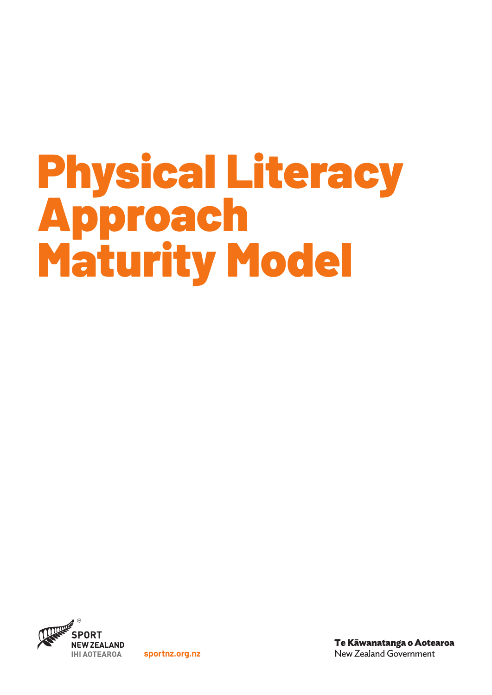# Physical Literacy Approach Maturity Model



**sportnz.org.nz**

Te Kāwanatanga o Aotearoa New Zealand Government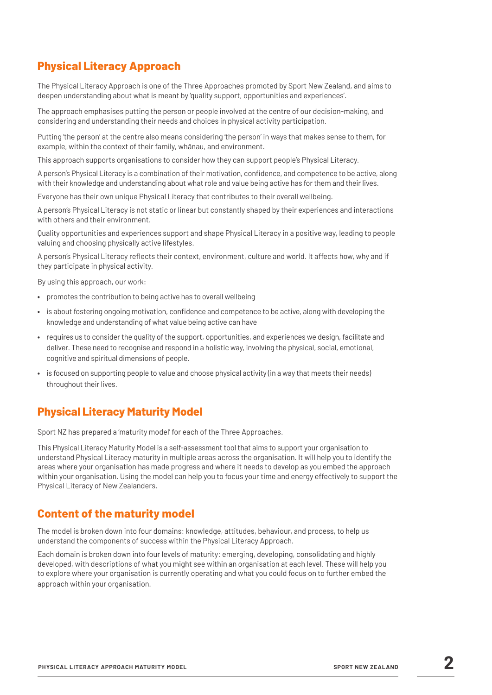## **Physical Literacy Approach**

The Physical Literacy Approach is one of the Three Approaches promoted by Sport New Zealand, and aims to deepen understanding about what is meant by 'quality support, opportunities and experiences'.

The approach emphasises putting the person or people involved at the centre of our decision-making, and considering and understanding their needs and choices in physical activity participation.

Putting 'the person' at the centre also means considering 'the person' in ways that makes sense to them, for example, within the context of their family, whānau, and environment.

This approach supports organisations to consider how they can support people's Physical Literacy.

A person's Physical Literacy is a combination of their motivation, confidence, and competence to be active, along with their knowledge and understanding about what role and value being active has for them and their lives.

Everyone has their own unique Physical Literacy that contributes to their overall wellbeing.

A person's Physical Literacy is not static or linear but constantly shaped by their experiences and interactions with others and their environment.

Quality opportunities and experiences support and shape Physical Literacy in a positive way, leading to people valuing and choosing physically active lifestyles.

A person's Physical Literacy reflects their context, environment, culture and world. It affects how, why and if they participate in physical activity.

By using this approach, our work:

- **•** promotes the contribution to being active has to overall wellbeing
- **•** is about fostering ongoing motivation, confidence and competence to be active, along with developing the knowledge and understanding of what value being active can have
- **•** requires us to consider the quality of the support, opportunities, and experiences we design, facilitate and deliver. These need to recognise and respond in a holistic way, involving the physical, social, emotional, cognitive and spiritual dimensions of people.
- **•** is focused on supporting people to value and choose physical activity (in a way that meets their needs) throughout their lives.

### **Physical Literacy Maturity Model**

Sport NZ has prepared a 'maturity model' for each of the Three Approaches.

This Physical Literacy Maturity Model is a self-assessment tool that aims to support your organisation to understand Physical Literacy maturity in multiple areas across the organisation. It will help you to identify the areas where your organisation has made progress and where it needs to develop as you embed the approach within your organisation. Using the model can help you to focus your time and energy effectively to support the Physical Literacy of New Zealanders.

## **Content of the maturity model**

The model is broken down into four domains: knowledge, attitudes, behaviour, and process, to help us understand the components of success within the Physical Literacy Approach.

Each domain is broken down into four levels of maturity: emerging, developing, consolidating and highly developed, with descriptions of what you might see within an organisation at each level. These will help you to explore where your organisation is currently operating and what you could focus on to further embed the approach within your organisation.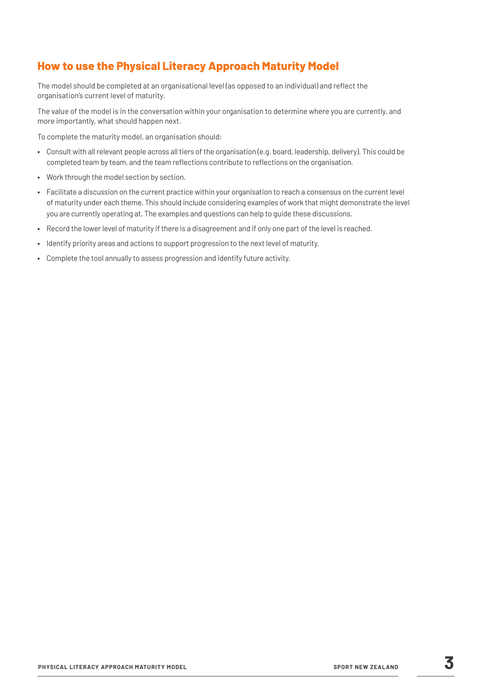## **How to use the Physical Literacy Approach Maturity Model**

The model should be completed at an organisational level (as opposed to an individual) and reflect the organisation's current level of maturity.

The value of the model is in the conversation within your organisation to determine where you are currently, and more importantly, what should happen next.

To complete the maturity model, an organisation should:

- **•** Consult with all relevant people across all tiers of the organisation (e.g. board, leadership, delivery). This could be completed team by team, and the team reflections contribute to reflections on the organisation.
- **•** Work through the model section by section.
- **•** Facilitate a discussion on the current practice within your organisation to reach a consensus on the current level of maturity under each theme. This should include considering examples of work that might demonstrate the level you are currently operating at. The examples and questions can help to guide these discussions.
- **•** Record the lower level of maturity if there is a disagreement and if only one part of the level is reached.
- **•** Identify priority areas and actions to support progression to the next level of maturity.
- **•** Complete the tool annually to assess progression and identify future activity.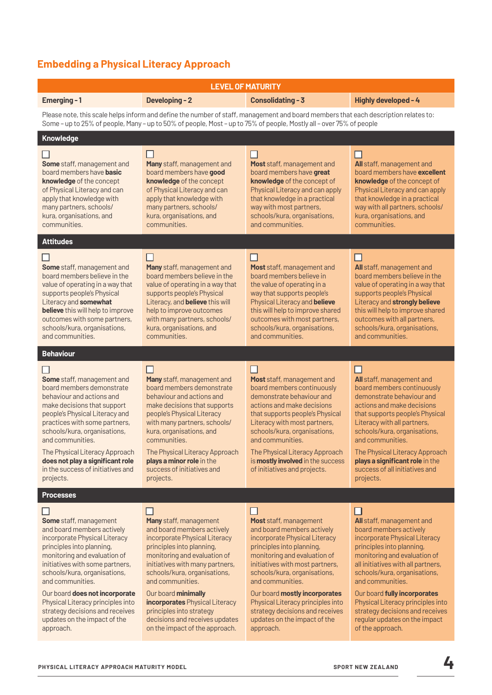# **Embedding a Physical Literacy Approach**

| <b>LEVEL OF MATURITY</b>                                                                                                                                                                                                                                                                                                                                                                         |                                                                                                                                                                                                                                                                                                                                                                                                          |                                                                                                                                                                                                                                                                                                                                                                                                       |                                                                                                                                                                                                                                                                                                                                                                                                               |
|--------------------------------------------------------------------------------------------------------------------------------------------------------------------------------------------------------------------------------------------------------------------------------------------------------------------------------------------------------------------------------------------------|----------------------------------------------------------------------------------------------------------------------------------------------------------------------------------------------------------------------------------------------------------------------------------------------------------------------------------------------------------------------------------------------------------|-------------------------------------------------------------------------------------------------------------------------------------------------------------------------------------------------------------------------------------------------------------------------------------------------------------------------------------------------------------------------------------------------------|---------------------------------------------------------------------------------------------------------------------------------------------------------------------------------------------------------------------------------------------------------------------------------------------------------------------------------------------------------------------------------------------------------------|
| Emerging-1                                                                                                                                                                                                                                                                                                                                                                                       | <b>Developing - 2</b>                                                                                                                                                                                                                                                                                                                                                                                    | <b>Consolidating - 3</b>                                                                                                                                                                                                                                                                                                                                                                              | Highly developed - 4                                                                                                                                                                                                                                                                                                                                                                                          |
| Please note, this scale helps inform and define the number of staff, management and board members that each description relates to:<br>Some - up to 25% of people, Many - up to 50% of people, Most - up to 75% of people, Mostly all - over 75% of people                                                                                                                                       |                                                                                                                                                                                                                                                                                                                                                                                                          |                                                                                                                                                                                                                                                                                                                                                                                                       |                                                                                                                                                                                                                                                                                                                                                                                                               |
| Knowledge                                                                                                                                                                                                                                                                                                                                                                                        |                                                                                                                                                                                                                                                                                                                                                                                                          |                                                                                                                                                                                                                                                                                                                                                                                                       |                                                                                                                                                                                                                                                                                                                                                                                                               |
| Some staff, management and<br>board members have <b>basic</b><br>knowledge of the concept<br>of Physical Literacy and can<br>apply that knowledge with<br>many partners, schools/<br>kura, organisations, and<br>communities.                                                                                                                                                                    | П<br>Many staff, management and<br>board members have good<br>knowledge of the concept<br>of Physical Literacy and can<br>apply that knowledge with<br>many partners, schools/<br>kura, organisations, and<br>communities.                                                                                                                                                                               | ΙI<br>Most staff, management and<br>board members have great<br>knowledge of the concept of<br>Physical Literacy and can apply<br>that knowledge in a practical<br>way with most partners,<br>schools/kura, organisations,<br>and communities.                                                                                                                                                        | All staff, management and<br>board members have excellent<br><b>knowledge</b> of the concept of<br>Physical Literacy and can apply<br>that knowledge in a practical<br>way with all partners, schools/<br>kura, organisations, and<br>communities.                                                                                                                                                            |
| <b>Attitudes</b>                                                                                                                                                                                                                                                                                                                                                                                 |                                                                                                                                                                                                                                                                                                                                                                                                          |                                                                                                                                                                                                                                                                                                                                                                                                       |                                                                                                                                                                                                                                                                                                                                                                                                               |
| Some staff, management and<br>board members believe in the<br>value of operating in a way that<br>supports people's Physical<br>Literacy and somewhat<br><b>believe</b> this will help to improve<br>outcomes with some partners,<br>schools/kura, organisations,<br>and communities.                                                                                                            | ΙI<br>Many staff, management and<br>board members believe in the<br>value of operating in a way that<br>supports people's Physical<br>Literacy, and believe this will<br>help to improve outcomes<br>with many partners, schools/<br>kura, organisations, and<br>communities.                                                                                                                            | $\mathsf{L}$<br>Most staff, management and<br>board members believe in<br>the value of operating in a<br>way that supports people's<br>Physical Literacy and believe<br>this will help to improve shared<br>outcomes with most partners,<br>schools/kura, organisations,<br>and communities.                                                                                                          | All staff, management and<br>board members believe in the<br>value of operating in a way that<br>supports people's Physical<br>Literacy and strongly believe<br>this will help to improve shared<br>outcomes with all partners,<br>schools/kura, organisations,<br>and communities.                                                                                                                           |
| <b>Behaviour</b>                                                                                                                                                                                                                                                                                                                                                                                 |                                                                                                                                                                                                                                                                                                                                                                                                          |                                                                                                                                                                                                                                                                                                                                                                                                       |                                                                                                                                                                                                                                                                                                                                                                                                               |
| Some staff, management and<br>board members demonstrate<br>behaviour and actions and<br>make decisions that support<br>people's Physical Literacy and<br>practices with some partners,<br>schools/kura, organisations,<br>and communities.<br>The Physical Literacy Approach<br>does not play a significant role<br>in the success of initiatives and<br>projects.                               | Many staff, management and<br>board members demonstrate<br>behaviour and actions and<br>make decisions that supports<br>people's Physical Literacy<br>with many partners, schools/<br>kura, organisations, and<br>communities.<br>The Physical Literacy Approach<br>plays a minor role in the<br>success of initiatives and<br>projects.                                                                 | Most staff, management and<br>board members continuously<br>demonstrate behaviour and<br>actions and make decisions<br>that supports people's Physical<br>Literacy with most partners,<br>schools/kura, organisations,<br>and communities.<br>The Physical Literacy Approach<br>is mostly involved in the success<br>of initiatives and projects.                                                     | <b>All</b> staff, management and<br>board members continuously<br>demonstrate behaviour and<br>actions and make decisions<br>that supports people's Physical<br>Literacy with all partners,<br>schools/kura, organisations,<br>and communities.<br>The Physical Literacy Approach<br>plays a significant role in the<br>success of all initiatives and<br>projects.                                           |
| <b>Processes</b>                                                                                                                                                                                                                                                                                                                                                                                 |                                                                                                                                                                                                                                                                                                                                                                                                          |                                                                                                                                                                                                                                                                                                                                                                                                       |                                                                                                                                                                                                                                                                                                                                                                                                               |
| Some staff, management<br>and board members actively<br>incorporate Physical Literacy<br>principles into planning,<br>monitoring and evaluation of<br>initiatives with some partners,<br>schools/kura, organisations,<br>and communities.<br>Our board does not incorporate<br>Physical Literacy principles into<br>strategy decisions and receives<br>updates on the impact of the<br>approach. | ΙI<br>Many staff, management<br>and board members actively<br>incorporate Physical Literacy<br>principles into planning,<br>monitoring and evaluation of<br>initiatives with many partners,<br>schools/kura, organisations,<br>and communities.<br>Our board minimally<br>incorporates Physical Literacy<br>principles into strategy<br>decisions and receives updates<br>on the impact of the approach. | ΙI<br>Most staff, management<br>and board members actively<br>incorporate Physical Literacy<br>principles into planning,<br>monitoring and evaluation of<br>initiatives with most partners,<br>schools/kura, organisations,<br>and communities.<br>Our board mostly incorporates<br>Physical Literacy principles into<br>strategy decisions and receives<br>updates on the impact of the<br>approach. | Ш<br>All staff, management and<br>board members actively<br>incorporate Physical Literacy<br>principles into planning,<br>monitoring and evaluation of<br>all initiatives with all partners,<br>schools/kura, organisations,<br>and communities.<br>Our board fully incorporates<br>Physical Literacy principles into<br>strategy decisions and receives<br>regular updates on the impact<br>of the approach. |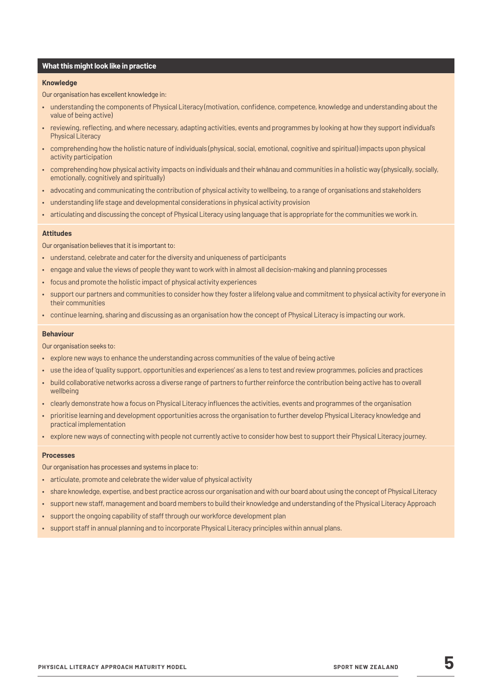#### **What this might look like in practice**

#### **Knowledge**

Our organisation has excellent knowledge in:

- understanding the components of Physical Literacy (motivation, confidence, competence, knowledge and understanding about the value of being active)
- reviewing, reflecting, and where necessary, adapting activities, events and programmes by looking at how they support individual's Physical Literacy
- comprehending how the holistic nature of individuals (physical, social, emotional, cognitive and spiritual) impacts upon physical activity participation
- comprehending how physical activity impacts on individuals and their whānau and communities in a holistic way (physically, socially, emotionally, cognitively and spiritually)
- advocating and communicating the contribution of physical activity to wellbeing, to a range of organisations and stakeholders
- understanding life stage and developmental considerations in physical activity provision
- articulating and discussing the concept of Physical Literacy using language that is appropriate for the communities we work in.

#### **Attitudes**

Our organisation believes that it is important to:

- understand, celebrate and cater for the diversity and uniqueness of participants
- engage and value the views of people they want to work with in almost all decision-making and planning processes
- focus and promote the holistic impact of physical activity experiences
- support our partners and communities to consider how they foster a lifelong value and commitment to physical activity for everyone in their communities
- continue learning, sharing and discussing as an organisation how the concept of Physical Literacy is impacting our work.

#### **Behaviour**

Our organisation seeks to:

- explore new ways to enhance the understanding across communities of the value of being active
- use the idea of 'quality support, opportunities and experiences' as a lens to test and review programmes, policies and practices
- build collaborative networks across a diverse range of partners to further reinforce the contribution being active has to overall wellbeing
- clearly demonstrate how a focus on Physical Literacy influences the activities, events and programmes of the organisation
- prioritise learning and development opportunities across the organisation to further develop Physical Literacy knowledge and practical implementation
- explore new ways of connecting with people not currently active to consider how best to support their Physical Literacy journey.

#### **Processes**

Our organisation has processes and systems in place to:

- articulate, promote and celebrate the wider value of physical activity
- share knowledge, expertise, and best practice across our organisation and with our board about using the concept of Physical Literacy
- support new staff, management and board members to build their knowledge and understanding of the Physical Literacy Approach
- support the ongoing capability of staff through our workforce development plan
- support staff in annual planning and to incorporate Physical Literacy principles within annual plans.